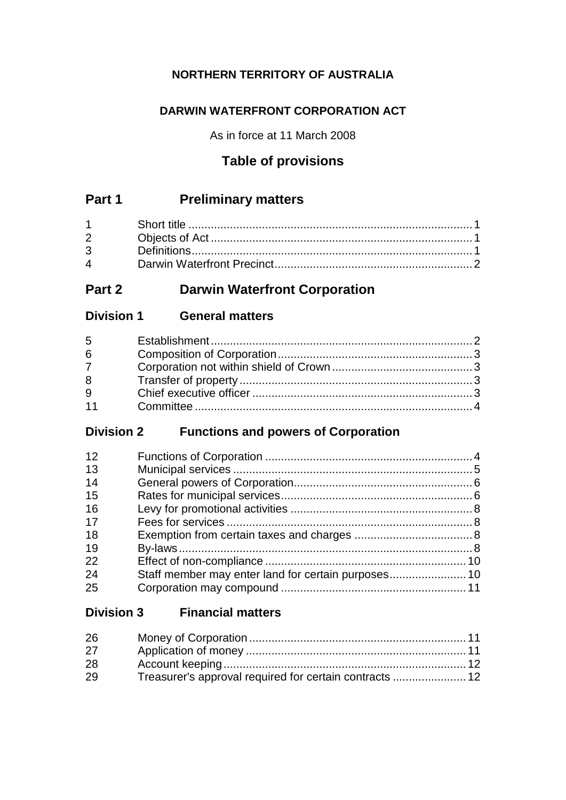# **NORTHERN TERRITORY OF AUSTRALIA**

# **DARWIN WATERFRONT CORPORATION ACT**

As in force at 11 March 2008

# **Table of provisions**

# **Part 1 Preliminary matters**

| $2 \left( \frac{1}{2} \right)$ |  |
|--------------------------------|--|
|                                |  |
| $\mathbf 4$                    |  |

# **Part 2 Darwin Waterfront Corporation**

# **Division 1 General matters**

# **Division 2 Functions and powers of Corporation**

| 12 |  |
|----|--|
| 13 |  |
| 14 |  |
| 15 |  |
| 16 |  |
| 17 |  |
| 18 |  |
| 19 |  |
| 22 |  |
| 24 |  |
| 25 |  |

# **Division 3 Financial matters**

| 26 |  |
|----|--|
| 27 |  |
| 28 |  |
| 29 |  |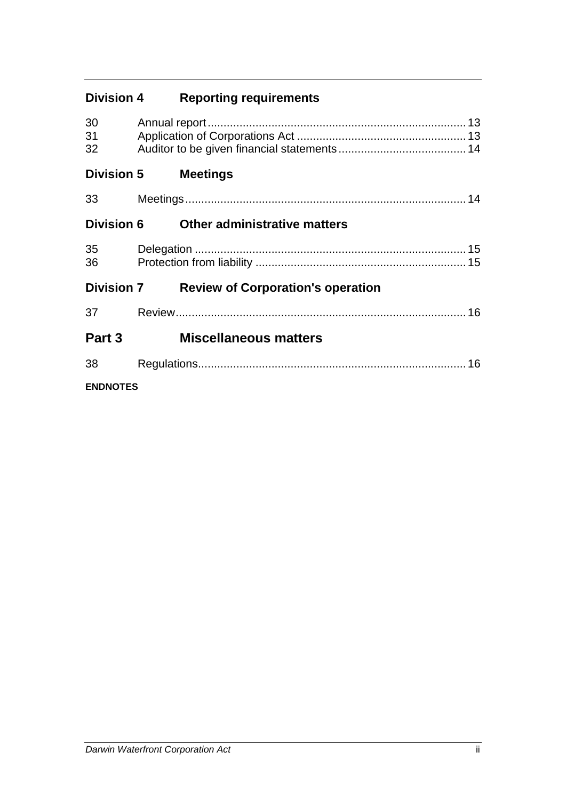| <b>Division 4</b> | <b>Reporting requirements</b> |
|-------------------|-------------------------------|
|                   |                               |

| 30<br>31<br>32    |                                          |  |
|-------------------|------------------------------------------|--|
| <b>Division 5</b> | <b>Meetings</b>                          |  |
| 33                |                                          |  |
| <b>Division 6</b> | <b>Other administrative matters</b>      |  |
| 35<br>36          |                                          |  |
| <b>Division 7</b> | <b>Review of Corporation's operation</b> |  |
| 37                |                                          |  |
| Part 3            | <b>Miscellaneous matters</b>             |  |
| 38                |                                          |  |
| <b>ENDNOTES</b>   |                                          |  |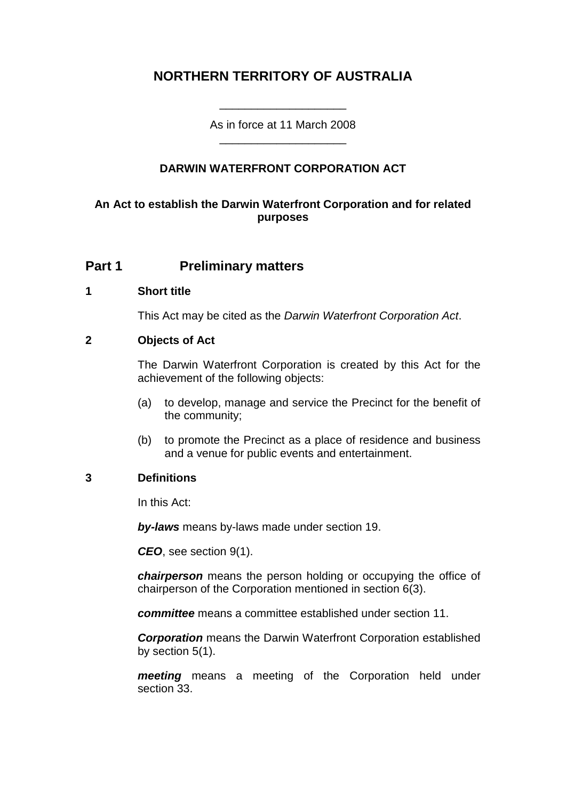# **NORTHERN TERRITORY OF AUSTRALIA**

As in force at 11 March 2008 \_\_\_\_\_\_\_\_\_\_\_\_\_\_\_\_\_\_\_\_

\_\_\_\_\_\_\_\_\_\_\_\_\_\_\_\_\_\_\_\_

### **DARWIN WATERFRONT CORPORATION ACT**

### **An Act to establish the Darwin Waterfront Corporation and for related purposes**

### **Part 1 Preliminary matters**

#### **1 Short title**

This Act may be cited as the *Darwin Waterfront Corporation Act*.

#### **2 Objects of Act**

The Darwin Waterfront Corporation is created by this Act for the achievement of the following objects:

- (a) to develop, manage and service the Precinct for the benefit of the community;
- (b) to promote the Precinct as a place of residence and business and a venue for public events and entertainment.

#### **3 Definitions**

In this Act:

*by-laws* means by-laws made under section 19.

*CEO*, see section 9(1).

*chairperson* means the person holding or occupying the office of chairperson of the Corporation mentioned in section 6(3).

*committee* means a committee established under section 11.

*Corporation* means the Darwin Waterfront Corporation established by section 5(1).

*meeting* means a meeting of the Corporation held under section 33.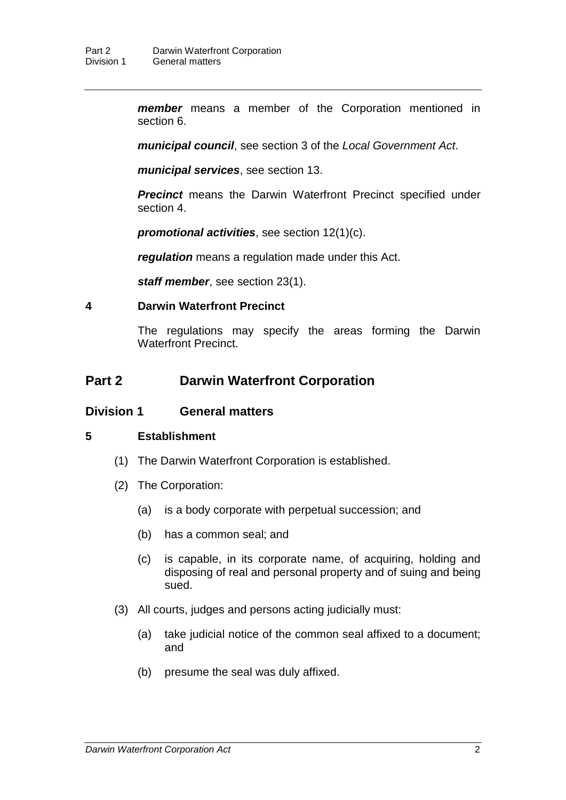*member* means a member of the Corporation mentioned in section 6.

*municipal council*, see section 3 of the *Local Government Act*.

*municipal services*, see section 13.

**Precinct** means the Darwin Waterfront Precinct specified under section 4.

*promotional activities*, see section 12(1)(c).

*regulation* means a regulation made under this Act.

*staff member*, see section 23(1).

#### **4 Darwin Waterfront Precinct**

The regulations may specify the areas forming the Darwin Waterfront Precinct.

## **Part 2 Darwin Waterfront Corporation**

#### **Division 1 General matters**

#### **5 Establishment**

- (1) The Darwin Waterfront Corporation is established.
- (2) The Corporation:
	- (a) is a body corporate with perpetual succession; and
	- (b) has a common seal; and
	- (c) is capable, in its corporate name, of acquiring, holding and disposing of real and personal property and of suing and being sued.
- (3) All courts, judges and persons acting judicially must:
	- (a) take judicial notice of the common seal affixed to a document; and
	- (b) presume the seal was duly affixed.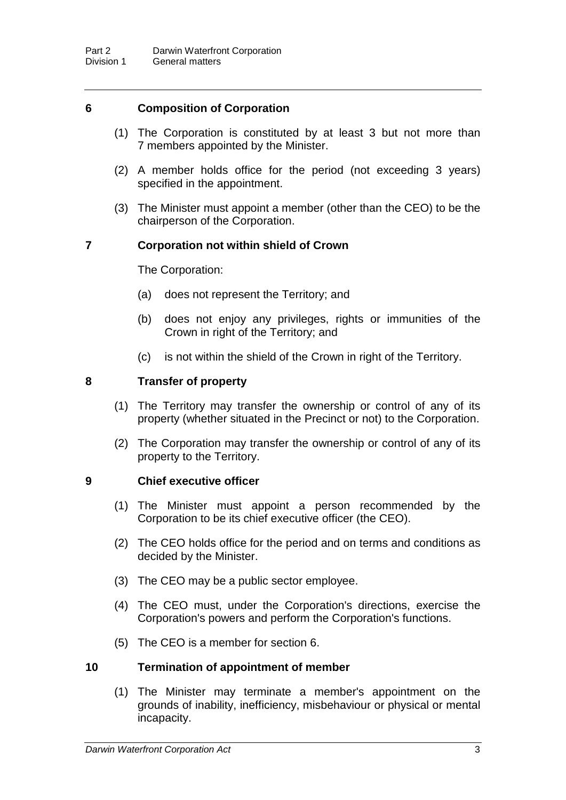#### **6 Composition of Corporation**

- (1) The Corporation is constituted by at least 3 but not more than 7 members appointed by the Minister.
- (2) A member holds office for the period (not exceeding 3 years) specified in the appointment.
- (3) The Minister must appoint a member (other than the CEO) to be the chairperson of the Corporation.

### **7 Corporation not within shield of Crown**

The Corporation:

- (a) does not represent the Territory; and
- (b) does not enjoy any privileges, rights or immunities of the Crown in right of the Territory; and
- (c) is not within the shield of the Crown in right of the Territory.

#### **8 Transfer of property**

- (1) The Territory may transfer the ownership or control of any of its property (whether situated in the Precinct or not) to the Corporation.
- (2) The Corporation may transfer the ownership or control of any of its property to the Territory.

#### **9 Chief executive officer**

- (1) The Minister must appoint a person recommended by the Corporation to be its chief executive officer (the CEO).
- (2) The CEO holds office for the period and on terms and conditions as decided by the Minister.
- (3) The CEO may be a public sector employee.
- (4) The CEO must, under the Corporation's directions, exercise the Corporation's powers and perform the Corporation's functions.
- (5) The CEO is a member for section 6.

#### **10 Termination of appointment of member**

(1) The Minister may terminate a member's appointment on the grounds of inability, inefficiency, misbehaviour or physical or mental incapacity.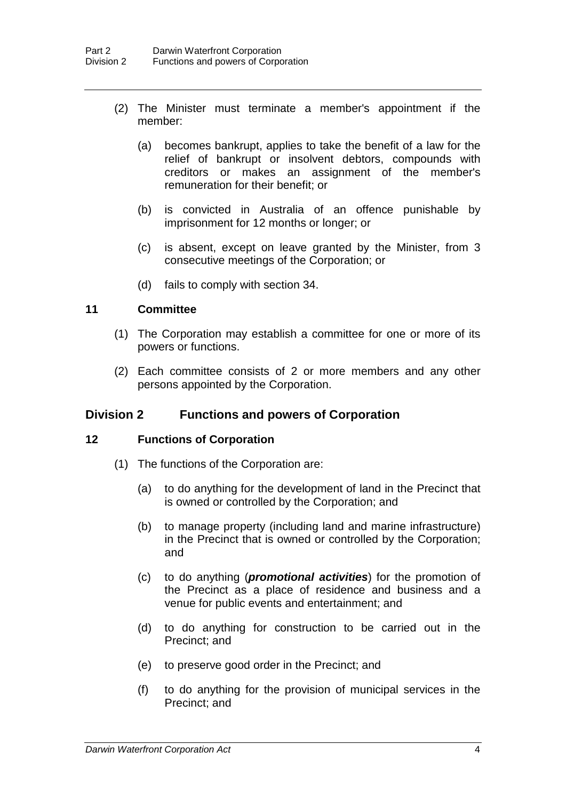- (2) The Minister must terminate a member's appointment if the member:
	- (a) becomes bankrupt, applies to take the benefit of a law for the relief of bankrupt or insolvent debtors, compounds with creditors or makes an assignment of the member's remuneration for their benefit; or
	- (b) is convicted in Australia of an offence punishable by imprisonment for 12 months or longer; or
	- (c) is absent, except on leave granted by the Minister, from 3 consecutive meetings of the Corporation; or
	- (d) fails to comply with section 34.

#### **11 Committee**

- (1) The Corporation may establish a committee for one or more of its powers or functions.
- (2) Each committee consists of 2 or more members and any other persons appointed by the Corporation.

#### **Division 2 Functions and powers of Corporation**

#### **12 Functions of Corporation**

- (1) The functions of the Corporation are:
	- (a) to do anything for the development of land in the Precinct that is owned or controlled by the Corporation; and
	- (b) to manage property (including land and marine infrastructure) in the Precinct that is owned or controlled by the Corporation; and
	- (c) to do anything (*promotional activities*) for the promotion of the Precinct as a place of residence and business and a venue for public events and entertainment; and
	- (d) to do anything for construction to be carried out in the Precinct; and
	- (e) to preserve good order in the Precinct; and
	- (f) to do anything for the provision of municipal services in the Precinct; and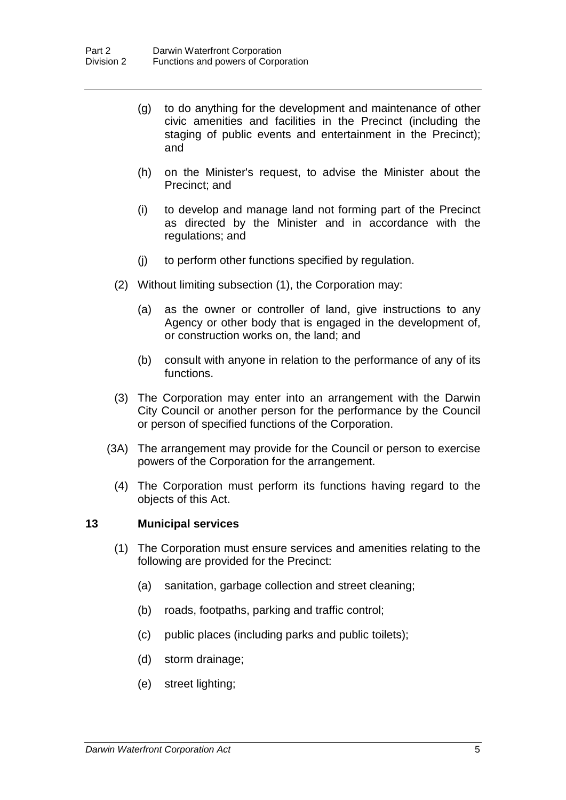- (g) to do anything for the development and maintenance of other civic amenities and facilities in the Precinct (including the staging of public events and entertainment in the Precinct); and
- (h) on the Minister's request, to advise the Minister about the Precinct; and
- (i) to develop and manage land not forming part of the Precinct as directed by the Minister and in accordance with the regulations; and
- (j) to perform other functions specified by regulation.
- (2) Without limiting subsection (1), the Corporation may:
	- (a) as the owner or controller of land, give instructions to any Agency or other body that is engaged in the development of, or construction works on, the land; and
	- (b) consult with anyone in relation to the performance of any of its functions.
- (3) The Corporation may enter into an arrangement with the Darwin City Council or another person for the performance by the Council or person of specified functions of the Corporation.
- (3A) The arrangement may provide for the Council or person to exercise powers of the Corporation for the arrangement.
	- (4) The Corporation must perform its functions having regard to the objects of this Act.

#### **13 Municipal services**

- (1) The Corporation must ensure services and amenities relating to the following are provided for the Precinct:
	- (a) sanitation, garbage collection and street cleaning;
	- (b) roads, footpaths, parking and traffic control;
	- (c) public places (including parks and public toilets);
	- (d) storm drainage;
	- (e) street lighting;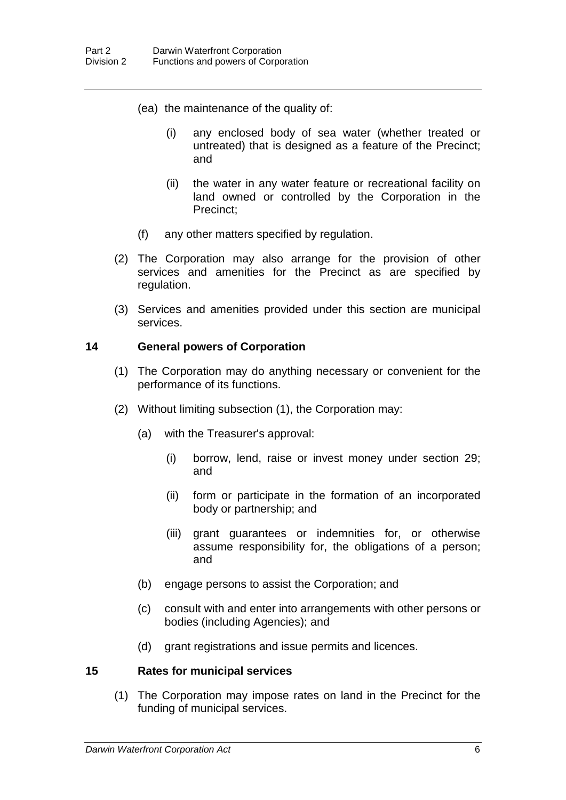- (ea) the maintenance of the quality of:
	- (i) any enclosed body of sea water (whether treated or untreated) that is designed as a feature of the Precinct; and
	- (ii) the water in any water feature or recreational facility on land owned or controlled by the Corporation in the Precinct;
- (f) any other matters specified by regulation.
- (2) The Corporation may also arrange for the provision of other services and amenities for the Precinct as are specified by regulation.
- (3) Services and amenities provided under this section are municipal services.

#### **14 General powers of Corporation**

- (1) The Corporation may do anything necessary or convenient for the performance of its functions.
- (2) Without limiting subsection (1), the Corporation may:
	- (a) with the Treasurer's approval:
		- (i) borrow, lend, raise or invest money under section 29; and
		- (ii) form or participate in the formation of an incorporated body or partnership; and
		- (iii) grant guarantees or indemnities for, or otherwise assume responsibility for, the obligations of a person; and
	- (b) engage persons to assist the Corporation; and
	- (c) consult with and enter into arrangements with other persons or bodies (including Agencies); and
	- (d) grant registrations and issue permits and licences.

#### **15 Rates for municipal services**

(1) The Corporation may impose rates on land in the Precinct for the funding of municipal services.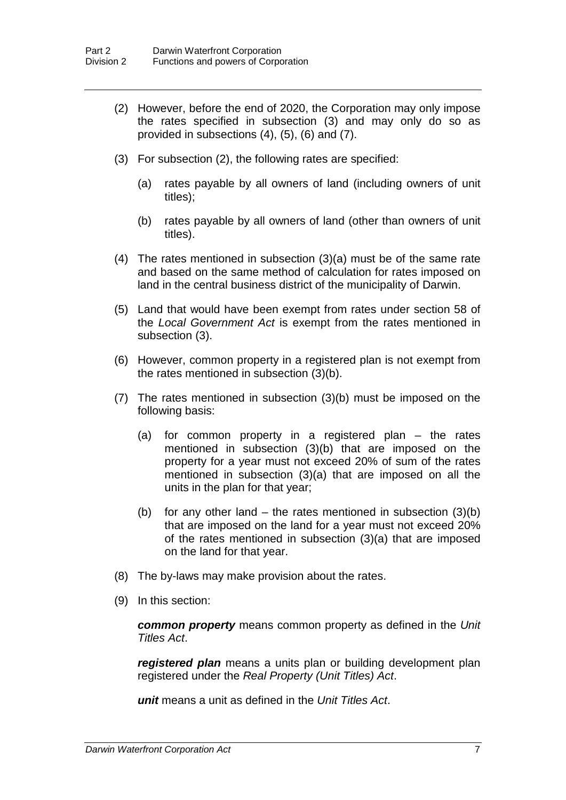- (2) However, before the end of 2020, the Corporation may only impose the rates specified in subsection (3) and may only do so as provided in subsections (4), (5), (6) and (7).
- (3) For subsection (2), the following rates are specified:
	- (a) rates payable by all owners of land (including owners of unit titles);
	- (b) rates payable by all owners of land (other than owners of unit titles).
- (4) The rates mentioned in subsection (3)(a) must be of the same rate and based on the same method of calculation for rates imposed on land in the central business district of the municipality of Darwin.
- (5) Land that would have been exempt from rates under section 58 of the *Local Government Act* is exempt from the rates mentioned in subsection (3).
- (6) However, common property in a registered plan is not exempt from the rates mentioned in subsection (3)(b).
- (7) The rates mentioned in subsection (3)(b) must be imposed on the following basis:
	- (a) for common property in a registered plan the rates mentioned in subsection (3)(b) that are imposed on the property for a year must not exceed 20% of sum of the rates mentioned in subsection (3)(a) that are imposed on all the units in the plan for that year;
	- (b) for any other land the rates mentioned in subsection  $(3)(b)$ that are imposed on the land for a year must not exceed 20% of the rates mentioned in subsection (3)(a) that are imposed on the land for that year.
- (8) The by-laws may make provision about the rates.
- (9) In this section:

*common property* means common property as defined in the *Unit Titles Act*.

*registered plan* means a units plan or building development plan registered under the *Real Property (Unit Titles) Act*.

*unit* means a unit as defined in the *Unit Titles Act*.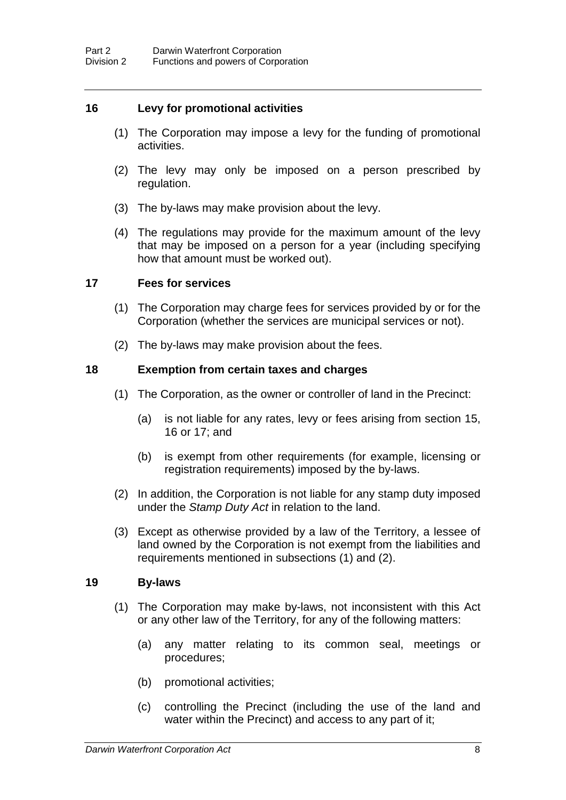#### **16 Levy for promotional activities**

- (1) The Corporation may impose a levy for the funding of promotional activities.
- (2) The levy may only be imposed on a person prescribed by regulation.
- (3) The by-laws may make provision about the levy.
- (4) The regulations may provide for the maximum amount of the levy that may be imposed on a person for a year (including specifying how that amount must be worked out).

#### **17 Fees for services**

- (1) The Corporation may charge fees for services provided by or for the Corporation (whether the services are municipal services or not).
- (2) The by-laws may make provision about the fees.

#### **18 Exemption from certain taxes and charges**

- (1) The Corporation, as the owner or controller of land in the Precinct:
	- (a) is not liable for any rates, levy or fees arising from section 15, 16 or 17; and
	- (b) is exempt from other requirements (for example, licensing or registration requirements) imposed by the by-laws.
- (2) In addition, the Corporation is not liable for any stamp duty imposed under the *Stamp Duty Act* in relation to the land.
- (3) Except as otherwise provided by a law of the Territory, a lessee of land owned by the Corporation is not exempt from the liabilities and requirements mentioned in subsections (1) and (2).

#### **19 By-laws**

- (1) The Corporation may make by-laws, not inconsistent with this Act or any other law of the Territory, for any of the following matters:
	- (a) any matter relating to its common seal, meetings or procedures;
	- (b) promotional activities;
	- (c) controlling the Precinct (including the use of the land and water within the Precinct) and access to any part of it;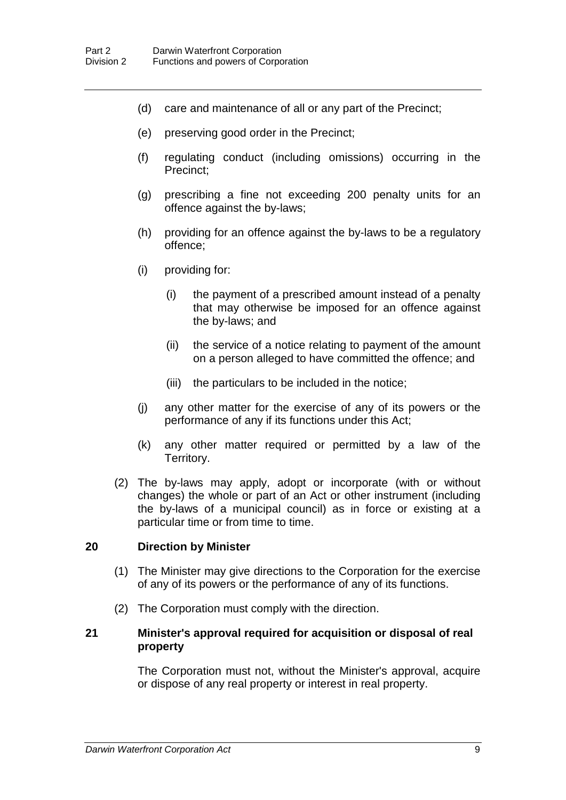- (d) care and maintenance of all or any part of the Precinct;
- (e) preserving good order in the Precinct;
- (f) regulating conduct (including omissions) occurring in the Precinct;
- (g) prescribing a fine not exceeding 200 penalty units for an offence against the by-laws;
- (h) providing for an offence against the by-laws to be a regulatory offence;
- (i) providing for:
	- (i) the payment of a prescribed amount instead of a penalty that may otherwise be imposed for an offence against the by-laws; and
	- (ii) the service of a notice relating to payment of the amount on a person alleged to have committed the offence; and
	- (iii) the particulars to be included in the notice;
- (j) any other matter for the exercise of any of its powers or the performance of any if its functions under this Act;
- (k) any other matter required or permitted by a law of the Territory.
- (2) The by-laws may apply, adopt or incorporate (with or without changes) the whole or part of an Act or other instrument (including the by-laws of a municipal council) as in force or existing at a particular time or from time to time.

#### **20 Direction by Minister**

- (1) The Minister may give directions to the Corporation for the exercise of any of its powers or the performance of any of its functions.
- (2) The Corporation must comply with the direction.

#### **21 Minister's approval required for acquisition or disposal of real property**

The Corporation must not, without the Minister's approval, acquire or dispose of any real property or interest in real property.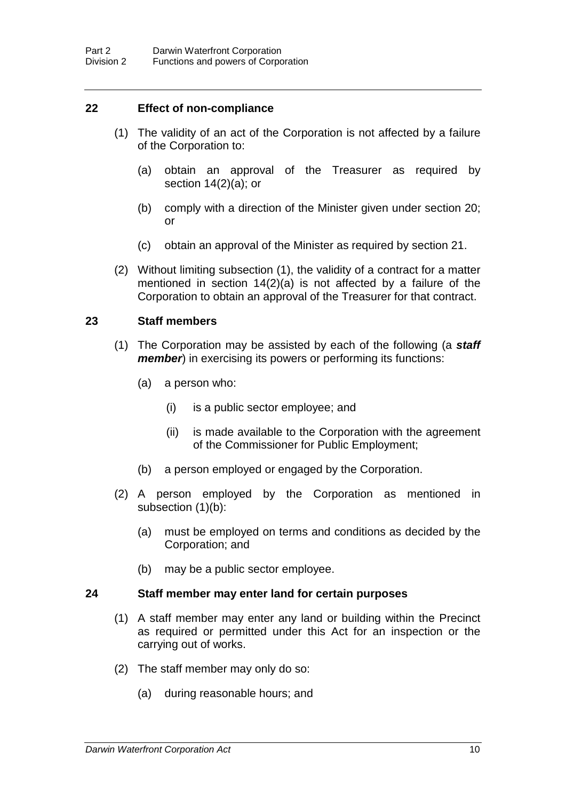#### **22 Effect of non-compliance**

- (1) The validity of an act of the Corporation is not affected by a failure of the Corporation to:
	- (a) obtain an approval of the Treasurer as required by section  $14(2)(a)$ ; or
	- (b) comply with a direction of the Minister given under section 20; or
	- (c) obtain an approval of the Minister as required by section 21.
- (2) Without limiting subsection (1), the validity of a contract for a matter mentioned in section 14(2)(a) is not affected by a failure of the Corporation to obtain an approval of the Treasurer for that contract.

#### **23 Staff members**

- (1) The Corporation may be assisted by each of the following (a *staff member*) in exercising its powers or performing its functions:
	- (a) a person who:
		- (i) is a public sector employee; and
		- (ii) is made available to the Corporation with the agreement of the Commissioner for Public Employment;
	- (b) a person employed or engaged by the Corporation.
- (2) A person employed by the Corporation as mentioned in subsection (1)(b):
	- (a) must be employed on terms and conditions as decided by the Corporation; and
	- (b) may be a public sector employee.

#### **24 Staff member may enter land for certain purposes**

- (1) A staff member may enter any land or building within the Precinct as required or permitted under this Act for an inspection or the carrying out of works.
- (2) The staff member may only do so:
	- (a) during reasonable hours; and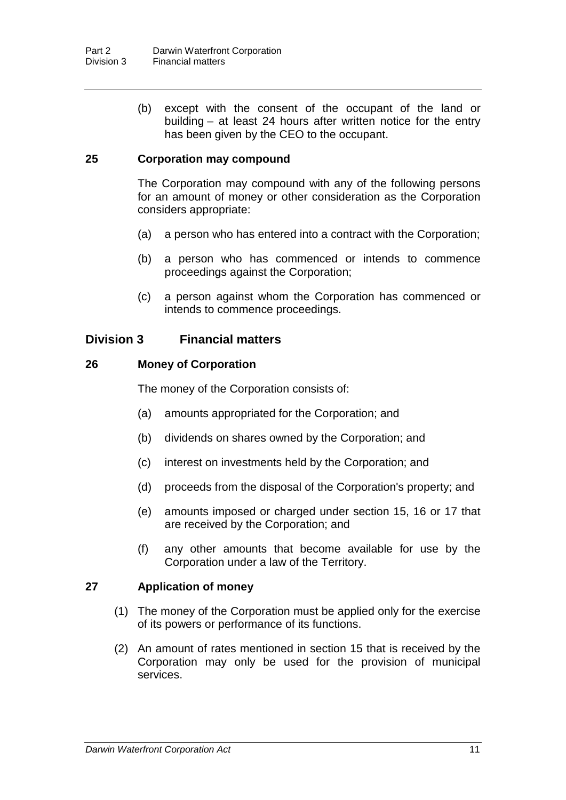(b) except with the consent of the occupant of the land or building – at least 24 hours after written notice for the entry has been given by the CEO to the occupant.

#### **25 Corporation may compound**

The Corporation may compound with any of the following persons for an amount of money or other consideration as the Corporation considers appropriate:

- (a) a person who has entered into a contract with the Corporation;
- (b) a person who has commenced or intends to commence proceedings against the Corporation;
- (c) a person against whom the Corporation has commenced or intends to commence proceedings.

### **Division 3 Financial matters**

#### **26 Money of Corporation**

The money of the Corporation consists of:

- (a) amounts appropriated for the Corporation; and
- (b) dividends on shares owned by the Corporation; and
- (c) interest on investments held by the Corporation; and
- (d) proceeds from the disposal of the Corporation's property; and
- (e) amounts imposed or charged under section 15, 16 or 17 that are received by the Corporation; and
- (f) any other amounts that become available for use by the Corporation under a law of the Territory.

#### **27 Application of money**

- (1) The money of the Corporation must be applied only for the exercise of its powers or performance of its functions.
- (2) An amount of rates mentioned in section 15 that is received by the Corporation may only be used for the provision of municipal services.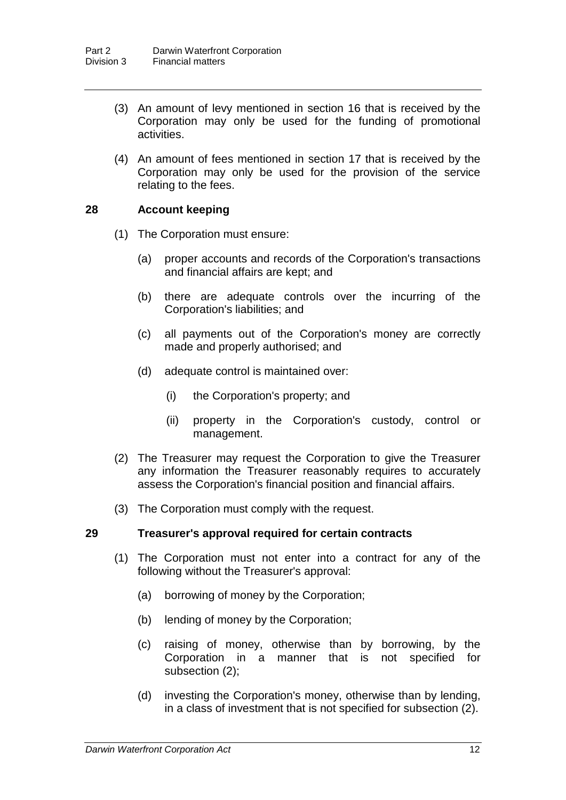- (3) An amount of levy mentioned in section 16 that is received by the Corporation may only be used for the funding of promotional activities.
- (4) An amount of fees mentioned in section 17 that is received by the Corporation may only be used for the provision of the service relating to the fees.

#### **28 Account keeping**

- (1) The Corporation must ensure:
	- (a) proper accounts and records of the Corporation's transactions and financial affairs are kept; and
	- (b) there are adequate controls over the incurring of the Corporation's liabilities; and
	- (c) all payments out of the Corporation's money are correctly made and properly authorised; and
	- (d) adequate control is maintained over:
		- (i) the Corporation's property; and
		- (ii) property in the Corporation's custody, control or management.
- (2) The Treasurer may request the Corporation to give the Treasurer any information the Treasurer reasonably requires to accurately assess the Corporation's financial position and financial affairs.
- (3) The Corporation must comply with the request.

#### **29 Treasurer's approval required for certain contracts**

- (1) The Corporation must not enter into a contract for any of the following without the Treasurer's approval:
	- (a) borrowing of money by the Corporation;
	- (b) lending of money by the Corporation;
	- (c) raising of money, otherwise than by borrowing, by the Corporation in a manner that is not specified for subsection (2);
	- (d) investing the Corporation's money, otherwise than by lending, in a class of investment that is not specified for subsection (2).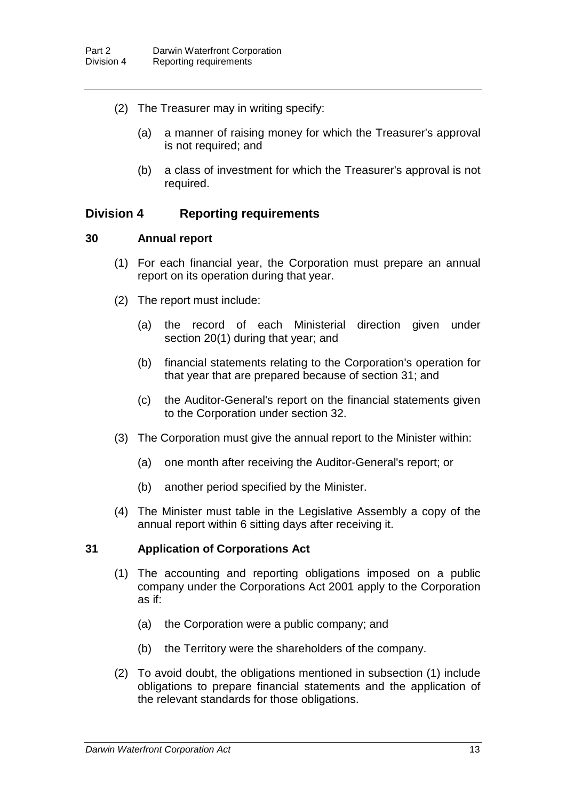- (2) The Treasurer may in writing specify:
	- (a) a manner of raising money for which the Treasurer's approval is not required; and
	- (b) a class of investment for which the Treasurer's approval is not required.

### **Division 4 Reporting requirements**

#### **30 Annual report**

- (1) For each financial year, the Corporation must prepare an annual report on its operation during that year.
- (2) The report must include:
	- (a) the record of each Ministerial direction given under section 20(1) during that year; and
	- (b) financial statements relating to the Corporation's operation for that year that are prepared because of section 31; and
	- (c) the Auditor-General's report on the financial statements given to the Corporation under section 32.
- (3) The Corporation must give the annual report to the Minister within:
	- (a) one month after receiving the Auditor-General's report; or
	- (b) another period specified by the Minister.
- (4) The Minister must table in the Legislative Assembly a copy of the annual report within 6 sitting days after receiving it.

#### **31 Application of Corporations Act**

- (1) The accounting and reporting obligations imposed on a public company under the Corporations Act 2001 apply to the Corporation as if:
	- (a) the Corporation were a public company; and
	- (b) the Territory were the shareholders of the company.
- (2) To avoid doubt, the obligations mentioned in subsection (1) include obligations to prepare financial statements and the application of the relevant standards for those obligations.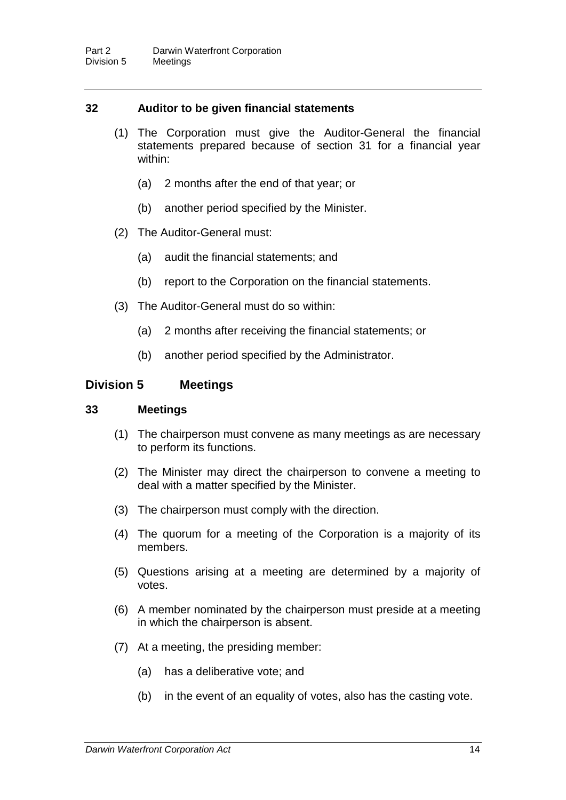#### **32 Auditor to be given financial statements**

- (1) The Corporation must give the Auditor-General the financial statements prepared because of section 31 for a financial year within:
	- (a) 2 months after the end of that year; or
	- (b) another period specified by the Minister.
- (2) The Auditor-General must:
	- (a) audit the financial statements; and
	- (b) report to the Corporation on the financial statements.
- (3) The Auditor-General must do so within:
	- (a) 2 months after receiving the financial statements; or
	- (b) another period specified by the Administrator.

#### **Division 5 Meetings**

#### **33 Meetings**

- (1) The chairperson must convene as many meetings as are necessary to perform its functions.
- (2) The Minister may direct the chairperson to convene a meeting to deal with a matter specified by the Minister.
- (3) The chairperson must comply with the direction.
- (4) The quorum for a meeting of the Corporation is a majority of its members.
- (5) Questions arising at a meeting are determined by a majority of votes.
- (6) A member nominated by the chairperson must preside at a meeting in which the chairperson is absent.
- (7) At a meeting, the presiding member:
	- (a) has a deliberative vote; and
	- (b) in the event of an equality of votes, also has the casting vote.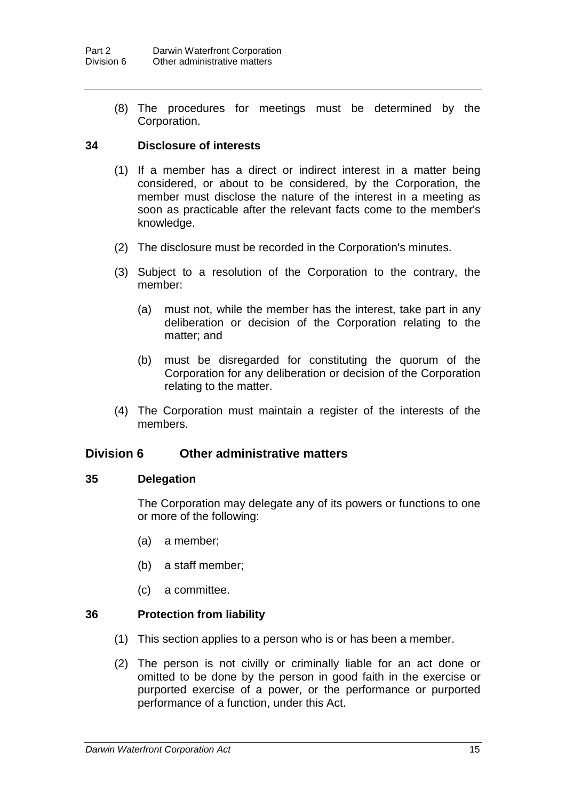(8) The procedures for meetings must be determined by the Corporation.

#### **34 Disclosure of interests**

- (1) If a member has a direct or indirect interest in a matter being considered, or about to be considered, by the Corporation, the member must disclose the nature of the interest in a meeting as soon as practicable after the relevant facts come to the member's knowledge.
- (2) The disclosure must be recorded in the Corporation's minutes.
- (3) Subject to a resolution of the Corporation to the contrary, the member:
	- (a) must not, while the member has the interest, take part in any deliberation or decision of the Corporation relating to the matter; and
	- (b) must be disregarded for constituting the quorum of the Corporation for any deliberation or decision of the Corporation relating to the matter.
- (4) The Corporation must maintain a register of the interests of the members.

### **Division 6 Other administrative matters**

#### **35 Delegation**

The Corporation may delegate any of its powers or functions to one or more of the following:

- (a) a member;
- (b) a staff member;
- (c) a committee.

#### **36 Protection from liability**

- (1) This section applies to a person who is or has been a member.
- (2) The person is not civilly or criminally liable for an act done or omitted to be done by the person in good faith in the exercise or purported exercise of a power, or the performance or purported performance of a function, under this Act.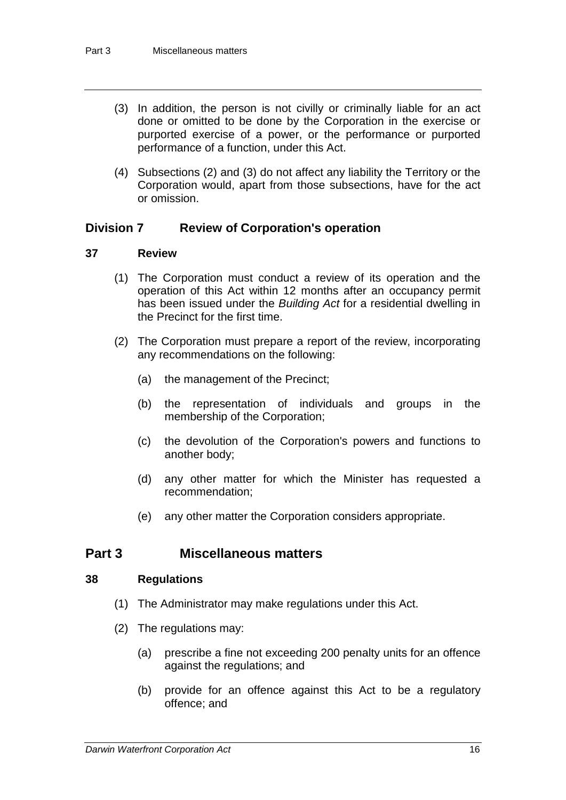- (3) In addition, the person is not civilly or criminally liable for an act done or omitted to be done by the Corporation in the exercise or purported exercise of a power, or the performance or purported performance of a function, under this Act.
- (4) Subsections (2) and (3) do not affect any liability the Territory or the Corporation would, apart from those subsections, have for the act or omission.

### **Division 7 Review of Corporation's operation**

### **37 Review**

- (1) The Corporation must conduct a review of its operation and the operation of this Act within 12 months after an occupancy permit has been issued under the *Building Act* for a residential dwelling in the Precinct for the first time.
- (2) The Corporation must prepare a report of the review, incorporating any recommendations on the following:
	- (a) the management of the Precinct;
	- (b) the representation of individuals and groups in the membership of the Corporation;
	- (c) the devolution of the Corporation's powers and functions to another body;
	- (d) any other matter for which the Minister has requested a recommendation;
	- (e) any other matter the Corporation considers appropriate.

### **Part 3 Miscellaneous matters**

#### **38 Regulations**

- (1) The Administrator may make regulations under this Act.
- (2) The regulations may:
	- (a) prescribe a fine not exceeding 200 penalty units for an offence against the regulations; and
	- (b) provide for an offence against this Act to be a regulatory offence; and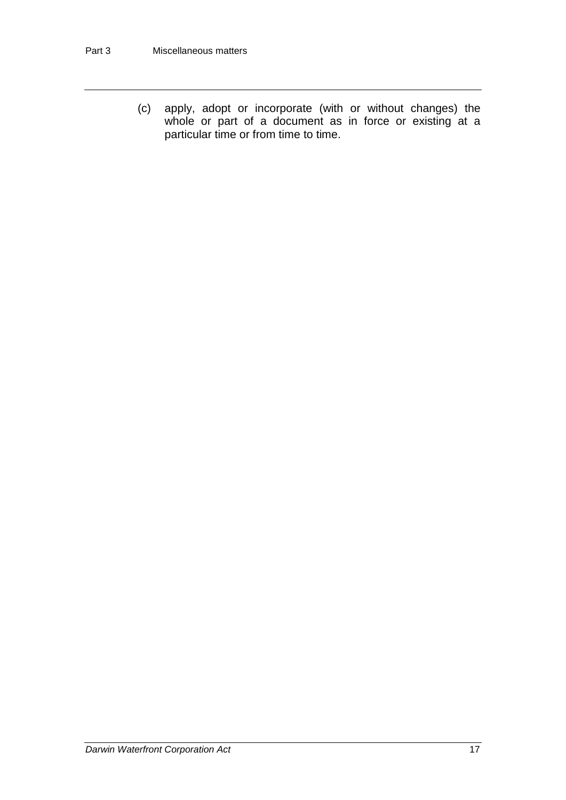(c) apply, adopt or incorporate (with or without changes) the whole or part of a document as in force or existing at a particular time or from time to time.